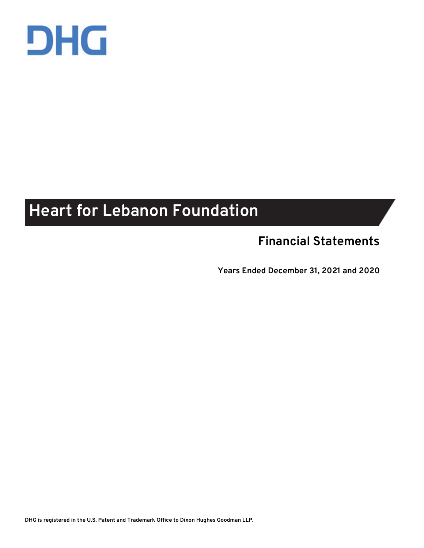

# **Heart for Lebanon Foundation**

## **Financial Statements**

**Years Ended December 31, 2021 and 2020**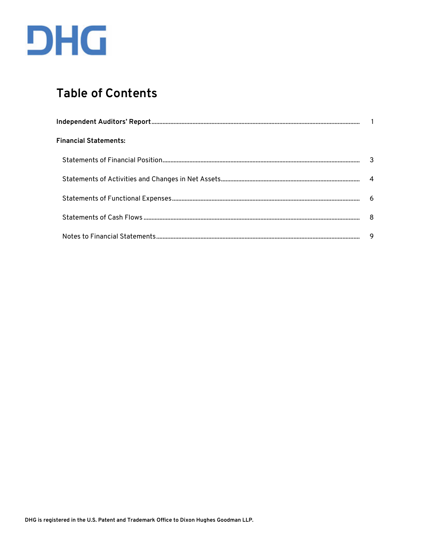

## **Table of Contents**

| <b>Financial Statements:</b> |     |
|------------------------------|-----|
|                              |     |
|                              |     |
|                              |     |
|                              | - 8 |
|                              | 9   |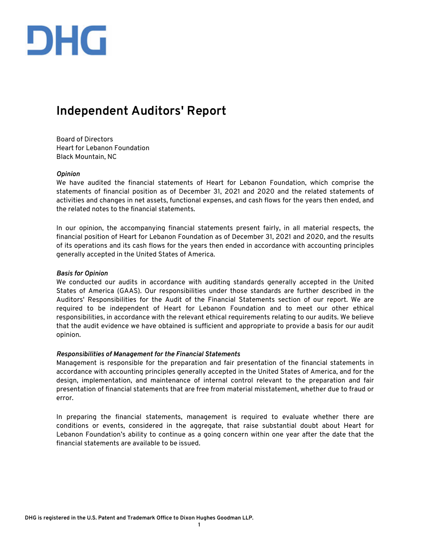

## **Independent Auditors' Report**

Board of Directors Heart for Lebanon Foundation Black Mountain, NC

#### *Opinion*

We have audited the financial statements of Heart for Lebanon Foundation, which comprise the statements of financial position as of December 31, 2021 and 2020 and the related statements of activities and changes in net assets, functional expenses, and cash flows for the years then ended, and the related notes to the financial statements.

In our opinion, the accompanying financial statements present fairly, in all material respects, the financial position of Heart for Lebanon Foundation as of December 31, 2021 and 2020, and the results of its operations and its cash flows for the years then ended in accordance with accounting principles generally accepted in the United States of America.

#### *Basis for Opinion*

We conducted our audits in accordance with auditing standards generally accepted in the United States of America (GAAS). Our responsibilities under those standards are further described in the Auditors' Responsibilities for the Audit of the Financial Statements section of our report. We are required to be independent of Heart for Lebanon Foundation and to meet our other ethical responsibilities, in accordance with the relevant ethical requirements relating to our audits. We believe that the audit evidence we have obtained is sufficient and appropriate to provide a basis for our audit opinion.

#### *Responsibilities of Management for the Financial Statements*

Management is responsible for the preparation and fair presentation of the financial statements in accordance with accounting principles generally accepted in the United States of America, and for the design, implementation, and maintenance of internal control relevant to the preparation and fair presentation of financial statements that are free from material misstatement, whether due to fraud or error.

In preparing the financial statements, management is required to evaluate whether there are conditions or events, considered in the aggregate, that raise substantial doubt about Heart for Lebanon Foundation's ability to continue as a going concern within one year after the date that the financial statements are available to be issued.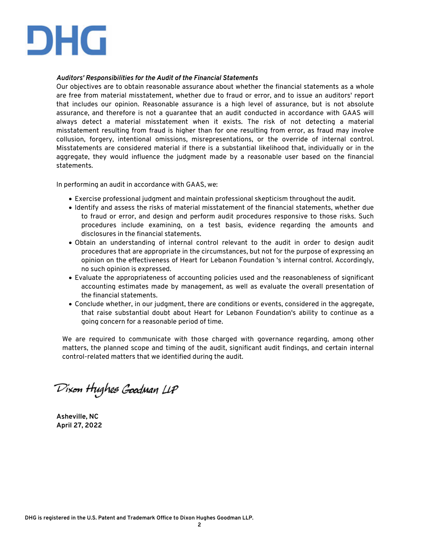

#### *Auditors' Responsibilities for the Audit of the Financial Statements*

Our objectives are to obtain reasonable assurance about whether the financial statements as a whole are free from material misstatement, whether due to fraud or error, and to issue an auditors' report that includes our opinion. Reasonable assurance is a high level of assurance, but is not absolute assurance, and therefore is not a guarantee that an audit conducted in accordance with GAAS will always detect a material misstatement when it exists. The risk of not detecting a material misstatement resulting from fraud is higher than for one resulting from error, as fraud may involve collusion, forgery, intentional omissions, misrepresentations, or the override of internal control. Misstatements are considered material if there is a substantial likelihood that, individually or in the aggregate, they would influence the judgment made by a reasonable user based on the financial statements.

In performing an audit in accordance with GAAS, we:

- Exercise professional judgment and maintain professional skepticism throughout the audit.
- Identify and assess the risks of material misstatement of the financial statements, whether due to fraud or error, and design and perform audit procedures responsive to those risks. Such procedures include examining, on a test basis, evidence regarding the amounts and disclosures in the financial statements.
- Obtain an understanding of internal control relevant to the audit in order to design audit procedures that are appropriate in the circumstances, but not for the purpose of expressing an opinion on the effectiveness of Heart for Lebanon Foundation 's internal control. Accordingly, no such opinion is expressed.
- Evaluate the appropriateness of accounting policies used and the reasonableness of significant accounting estimates made by management, as well as evaluate the overall presentation of the financial statements.
- Conclude whether, in our judgment, there are conditions or events, considered in the aggregate, that raise substantial doubt about Heart for Lebanon Foundation's ability to continue as a going concern for a reasonable period of time.

We are required to communicate with those charged with governance regarding, among other matters, the planned scope and timing of the audit, significant audit findings, and certain internal control-related matters that we identified during the audit.

Dixon Hughes Goodman LLP

**Asheville, NC April 27, 2022**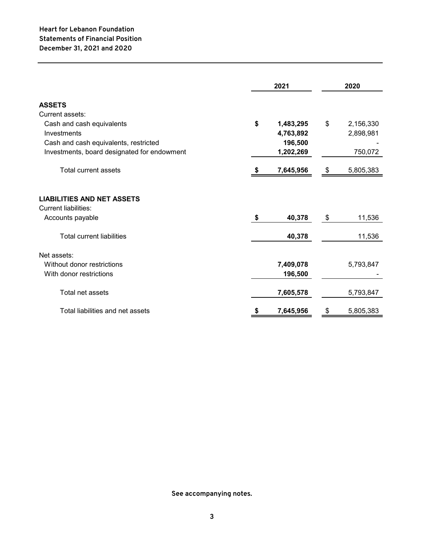|                                                                                      | 2021 |           | 2020            |
|--------------------------------------------------------------------------------------|------|-----------|-----------------|
| <b>ASSETS</b>                                                                        |      |           |                 |
| Current assets:                                                                      |      |           |                 |
| Cash and cash equivalents                                                            | \$   | 1,483,295 | \$<br>2,156,330 |
| Investments                                                                          |      | 4,763,892 | 2,898,981       |
| Cash and cash equivalents, restricted                                                |      | 196,500   |                 |
| Investments, board designated for endowment                                          |      | 1,202,269 | 750,072         |
| <b>Total current assets</b>                                                          |      | 7,645,956 | \$<br>5,805,383 |
| <b>LIABILITIES AND NET ASSETS</b><br><b>Current liabilities:</b><br>Accounts payable | \$   | 40,378    | \$<br>11,536    |
| <b>Total current liabilities</b>                                                     |      | 40,378    | 11,536          |
| Net assets:                                                                          |      |           |                 |
| Without donor restrictions                                                           |      | 7,409,078 | 5,793,847       |
| With donor restrictions                                                              |      | 196,500   |                 |
| Total net assets                                                                     |      | 7,605,578 | 5,793,847       |
| Total liabilities and net assets                                                     | \$   | 7,645,956 | \$<br>5,805,383 |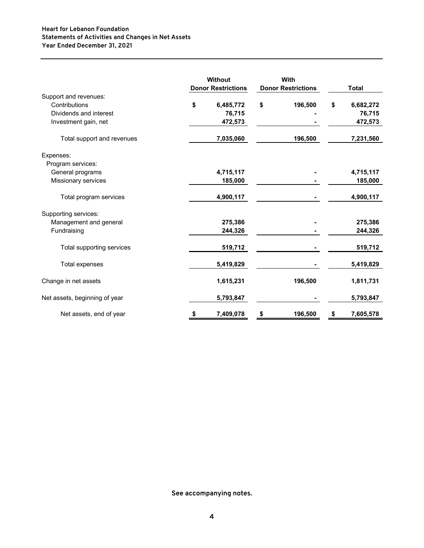## **Heart for Lebanon Foundation Year Ended December 31, 2021 Statements of Activities and Changes in Net Assets**

|                               | Without<br><b>Donor Restrictions</b> |    | With<br><b>Donor Restrictions</b> |    | <b>Total</b> |
|-------------------------------|--------------------------------------|----|-----------------------------------|----|--------------|
| Support and revenues:         |                                      |    |                                   |    |              |
| Contributions                 | \$<br>6,485,772                      | \$ | 196,500                           | \$ | 6,682,272    |
| Dividends and interest        | 76,715                               |    |                                   |    | 76,715       |
| Investment gain, net          | 472,573                              |    |                                   |    | 472,573      |
| Total support and revenues    | 7,035,060                            |    | 196,500                           |    | 7,231,560    |
| Expenses:                     |                                      |    |                                   |    |              |
| Program services:             |                                      |    |                                   |    |              |
| General programs              | 4,715,117                            |    |                                   |    | 4,715,117    |
| Missionary services           | 185,000                              |    |                                   |    | 185,000      |
| Total program services        | 4,900,117                            |    |                                   |    | 4,900,117    |
| Supporting services:          |                                      |    |                                   |    |              |
| Management and general        | 275,386                              |    |                                   |    | 275,386      |
| Fundraising                   | 244,326                              |    |                                   |    | 244,326      |
| Total supporting services     | 519,712                              |    |                                   |    | 519,712      |
| <b>Total expenses</b>         | 5,419,829                            |    |                                   |    | 5,419,829    |
| Change in net assets          | 1,615,231                            |    | 196,500                           |    | 1,811,731    |
| Net assets, beginning of year | 5,793,847                            |    |                                   |    | 5,793,847    |
| Net assets, end of year       | \$<br>7,409,078                      | \$ | 196,500                           | \$ | 7,605,578    |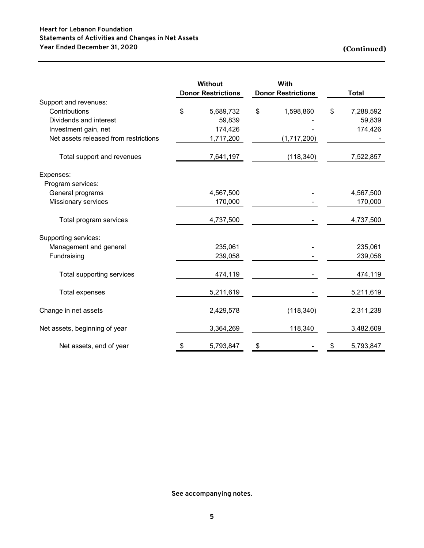## **Heart for Lebanon Foundation Statements of Activities and Changes in Net Assets Year Ended December 31, 2020**

**(Continued)**

|                                       | <b>Without</b><br><b>Donor Restrictions</b> |    | With<br><b>Donor Restrictions</b> |    | <b>Total</b> |
|---------------------------------------|---------------------------------------------|----|-----------------------------------|----|--------------|
| Support and revenues:                 |                                             |    |                                   |    |              |
| Contributions                         | \$<br>5,689,732                             | \$ | 1,598,860                         | \$ | 7,288,592    |
| Dividends and interest                | 59,839                                      |    |                                   |    | 59,839       |
| Investment gain, net                  | 174,426                                     |    |                                   |    | 174,426      |
| Net assets released from restrictions | 1,717,200                                   |    | (1,717,200)                       |    |              |
| Total support and revenues            | 7,641,197                                   |    | (118, 340)                        |    | 7,522,857    |
| Expenses:                             |                                             |    |                                   |    |              |
| Program services:                     |                                             |    |                                   |    |              |
| General programs                      | 4,567,500                                   |    |                                   |    | 4,567,500    |
| Missionary services                   | 170,000                                     |    |                                   |    | 170,000      |
| Total program services                | 4,737,500                                   |    |                                   |    | 4,737,500    |
| Supporting services:                  |                                             |    |                                   |    |              |
| Management and general                | 235,061                                     |    |                                   |    | 235,061      |
| Fundraising                           | 239,058                                     |    |                                   |    | 239,058      |
| Total supporting services             | 474,119                                     |    |                                   |    | 474,119      |
| <b>Total expenses</b>                 | 5,211,619                                   |    |                                   |    | 5,211,619    |
| Change in net assets                  | 2,429,578                                   |    | (118, 340)                        |    | 2,311,238    |
| Net assets, beginning of year         | 3,364,269                                   |    | 118,340                           |    | 3,482,609    |
| Net assets, end of year               | \$<br>5,793,847                             | \$ |                                   | \$ | 5,793,847    |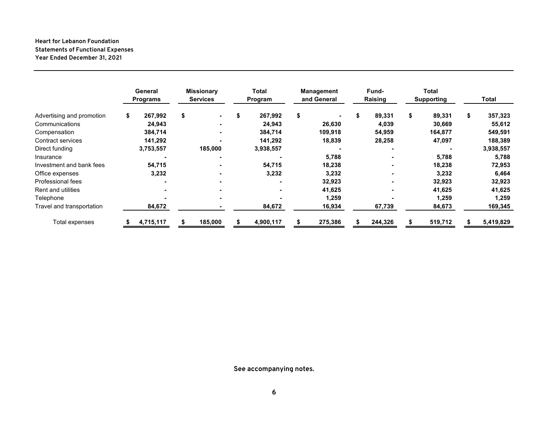## **Statements of Functional Expenses Heart for Lebanon Foundation Year Ended December 31, 2021**

|                           | General<br><b>Programs</b> | <b>Missionary</b><br><b>Services</b> | <b>Total</b><br>Program  | <b>Management</b><br>and General |   | Fund-<br>Raising | Total<br><b>Supporting</b> | Total         |
|---------------------------|----------------------------|--------------------------------------|--------------------------|----------------------------------|---|------------------|----------------------------|---------------|
| Advertising and promotion | \$<br>267,992              | \$<br>$\blacksquare$                 | \$<br>267,992            | \$                               | ъ | 89,331           | \$<br>89,331               | \$<br>357,323 |
| Communications            | 24,943                     |                                      | 24,943                   | 26,630                           |   | 4,039            | 30,669                     | 55,612        |
| Compensation              | 384,714                    |                                      | 384,714                  | 109,918                          |   | 54,959           | 164,877                    | 549,591       |
| Contract services         | 141,292                    |                                      | 141,292                  | 18,839                           |   | 28,258           | 47,097                     | 188,389       |
| Direct funding            | 3,753,557                  | 185,000                              | 3,938,557                |                                  |   |                  |                            | 3,938,557     |
| Insurance                 |                            |                                      |                          | 5,788                            |   |                  | 5,788                      | 5,788         |
| Investment and bank fees  | 54,715                     |                                      | 54,715                   | 18,238                           |   |                  | 18,238                     | 72,953        |
| Office expenses           | 3,232                      |                                      | 3,232                    | 3,232                            |   |                  | 3,232                      | 6,464         |
| Professional fees         |                            |                                      | $\overline{\phantom{a}}$ | 32,923                           |   |                  | 32,923                     | 32,923        |
| Rent and utilities        |                            |                                      | $\blacksquare$           | 41,625                           |   |                  | 41,625                     | 41,625        |
| Telephone                 |                            |                                      |                          | 1,259                            |   |                  | 1,259                      | 1,259         |
| Travel and transportation | 84,672                     |                                      | 84,672                   | 16,934                           |   | 67,739           | 84,673                     | 169,345       |
| Total expenses            | 4,715,117                  | 185,000                              | 4,900,117                | 275,386                          |   | 244,326          | 519,712                    | 5,419,829     |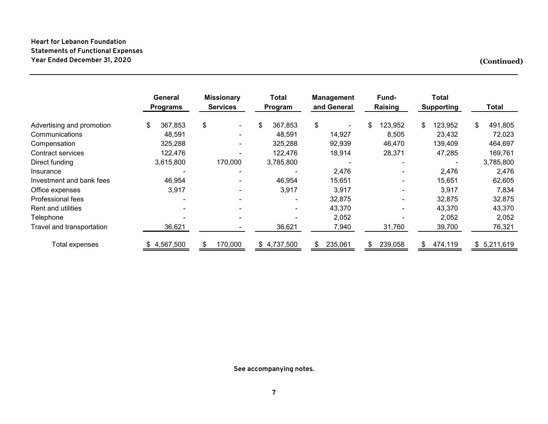## **Heart for Lebanon Foundation Statements of Functional Expenses Year Ended December 31, 2020**

**(Continued)**

|                           | General<br><b>Programs</b> | <b>Missionary</b><br><b>Services</b> | Total<br>Program | <b>Management</b><br>and General | Fund-<br><b>Raising</b> | Total<br><b>Supporting</b> | <b>Total</b>  |
|---------------------------|----------------------------|--------------------------------------|------------------|----------------------------------|-------------------------|----------------------------|---------------|
| Advertising and promotion | 367,853<br>\$              | \$<br>۰.                             | \$<br>367,853    | \$                               | 123,952<br>\$           | \$<br>123,952              | \$<br>491,805 |
| Communications            | 48,591                     |                                      | 48,591           | 14,927                           | 8,505                   | 23,432                     | 72,023        |
| Compensation              | 325,288                    | ۰.                                   | 325,288          | 92,939                           | 46,470                  | 139,409                    | 464,697       |
| Contract services         | 122,476                    |                                      | 122,476          | 18,914                           | 28,371                  | 47,285                     | 169,761       |
| Direct funding            | 3,615,800                  | 170,000                              | 3,785,800        |                                  |                         |                            | 3,785,800     |
| Insurance                 |                            |                                      |                  | 2,476                            |                         | 2,476                      | 2,476         |
| Investment and bank fees  | 46,954                     |                                      | 46,954           | 15,651                           |                         | 15,651                     | 62,605        |
| Office expenses           | 3,917                      | $\blacksquare$                       | 3,917            | 3,917                            |                         | 3,917                      | 7,834         |
| Professional fees         |                            | $\blacksquare$                       | $\sim$           | 32,875                           | $\blacksquare$          | 32,875                     | 32,875        |
| <b>Rent and utilities</b> |                            |                                      |                  | 43,370                           | -                       | 43,370                     | 43,370        |
| Telephone                 |                            |                                      |                  | 2,052                            |                         | 2,052                      | 2,052         |
| Travel and transportation | 36,621                     |                                      | 36,621           | 7,940                            | 31,760                  | 39,700                     | 76,321        |
| Total expenses            | \$4,567,500                | 170,000                              | 4,737,500<br>\$  | 235,061                          | 239,058                 | 474,119<br>\$              | \$5,211,619   |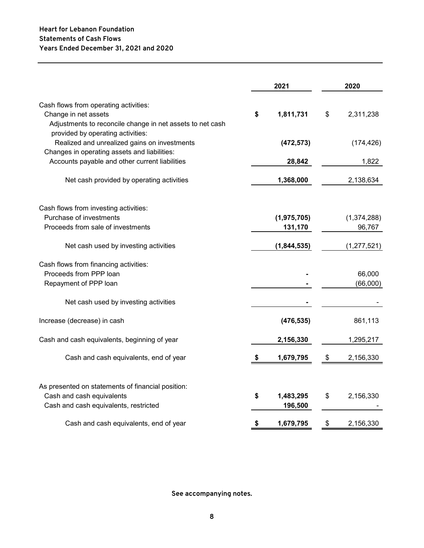|                                                                                                                                   |    | 2021                 | 2020               |
|-----------------------------------------------------------------------------------------------------------------------------------|----|----------------------|--------------------|
| Cash flows from operating activities:<br>Change in net assets<br>Adjustments to reconcile change in net assets to net cash        | \$ | 1,811,731            | \$<br>2,311,238    |
| provided by operating activities:<br>Realized and unrealized gains on investments<br>Changes in operating assets and liabilities: |    | (472, 573)           | (174, 426)         |
| Accounts payable and other current liabilities                                                                                    |    | 28,842               | 1,822              |
| Net cash provided by operating activities                                                                                         |    | 1,368,000            | 2,138,634          |
| Cash flows from investing activities:<br>Purchase of investments<br>Proceeds from sale of investments                             |    | (1,975,705)          | (1, 374, 288)      |
|                                                                                                                                   |    | 131,170              | 96,767             |
| Net cash used by investing activities                                                                                             |    | (1,844,535)          | (1, 277, 521)      |
| Cash flows from financing activities:<br>Proceeds from PPP loan<br>Repayment of PPP loan                                          |    |                      | 66,000<br>(66,000) |
| Net cash used by investing activities                                                                                             |    |                      |                    |
| Increase (decrease) in cash                                                                                                       |    | (476, 535)           | 861,113            |
| Cash and cash equivalents, beginning of year                                                                                      |    | 2,156,330            | 1,295,217          |
| Cash and cash equivalents, end of year                                                                                            | \$ | 1,679,795            | \$<br>2,156,330    |
| As presented on statements of financial position:<br>Cash and cash equivalents<br>Cash and cash equivalents, restricted           | \$ | 1,483,295<br>196,500 | \$<br>2,156,330    |
| Cash and cash equivalents, end of year                                                                                            | S  | 1,679,795            | \$<br>2,156,330    |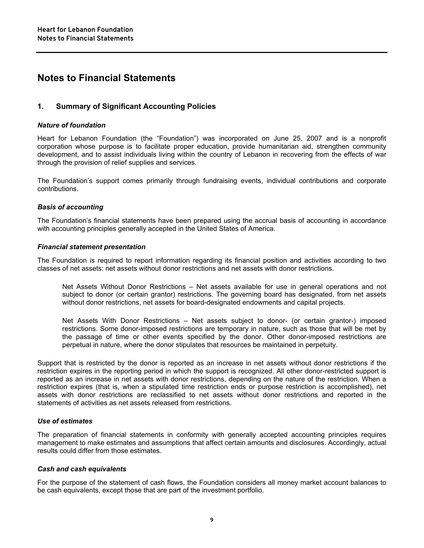## **Notes to Financial Statements**

### **1. Summary of Significant Accounting Policies**

#### *Nature of foundation*

Heart for Lebanon Foundation (the "Foundation") was incorporated on June 25, 2007 and is a nonprofit corporation whose purpose is to facilitate proper education, provide humanitarian aid, strengthen community development, and to assist individuals living within the country of Lebanon in recovering from the effects of war through the provision of relief supplies and services.

The Foundation's support comes primarily through fundraising events, individual contributions and corporate contributions.

#### *Basis of accounting*

The Foundation's financial statements have been prepared using the accrual basis of accounting in accordance with accounting principles generally accepted in the United States of America.

#### *Financial statement presentation*

The Foundation is required to report information regarding its financial position and activities according to two classes of net assets: net assets without donor restrictions and net assets with donor restrictions.

Net Assets Without Donor Restrictions – Net assets available for use in general operations and not subject to donor (or certain grantor) restrictions. The governing board has designated, from net assets without donor restrictions, net assets for board-designated endowments and capital projects.

Net Assets With Donor Restrictions – Net assets subject to donor- (or certain grantor-) imposed restrictions. Some donor-imposed restrictions are temporary in nature, such as those that will be met by the passage of time or other events specified by the donor. Other donor-imposed restrictions are perpetual in nature, where the donor stipulates that resources be maintained in perpetuity.

Support that is restricted by the donor is reported as an increase in net assets without donor restrictions if the restriction expires in the reporting period in which the support is recognized. All other donor-restricted support is reported as an increase in net assets with donor restrictions, depending on the nature of the restriction. When a restriction expires (that is, when a stipulated time restriction ends or purpose restriction is accomplished), net assets with donor restrictions are reclassified to net assets without donor restrictions and reported in the statements of activities as net assets released from restrictions.

#### *Use of estimates*

The preparation of financial statements in conformity with generally accepted accounting principles requires management to make estimates and assumptions that affect certain amounts and disclosures. Accordingly, actual results could differ from those estimates.

#### *Cash and cash equivalents*

For the purpose of the statement of cash flows, the Foundation considers all money market account balances to be cash equivalents, except those that are part of the investment portfolio.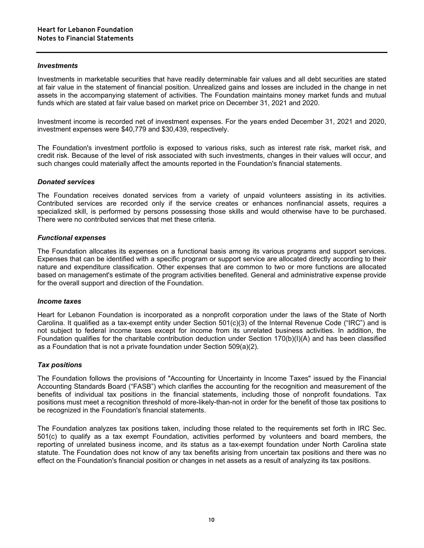#### *Investments*

Investments in marketable securities that have readily determinable fair values and all debt securities are stated at fair value in the statement of financial position. Unrealized gains and losses are included in the change in net assets in the accompanying statement of activities. The Foundation maintains money market funds and mutual funds which are stated at fair value based on market price on December 31, 2021 and 2020.

Investment income is recorded net of investment expenses. For the years ended December 31, 2021 and 2020, investment expenses were \$40,779 and \$30,439, respectively.

The Foundation's investment portfolio is exposed to various risks, such as interest rate risk, market risk, and credit risk. Because of the level of risk associated with such investments, changes in their values will occur, and such changes could materially affect the amounts reported in the Foundation's financial statements.

#### *Donated services*

The Foundation receives donated services from a variety of unpaid volunteers assisting in its activities. Contributed services are recorded only if the service creates or enhances nonfinancial assets, requires a specialized skill, is performed by persons possessing those skills and would otherwise have to be purchased. There were no contributed services that met these criteria.

#### *Functional expenses*

The Foundation allocates its expenses on a functional basis among its various programs and support services. Expenses that can be identified with a specific program or support service are allocated directly according to their nature and expenditure classification. Other expenses that are common to two or more functions are allocated based on management's estimate of the program activities benefited. General and administrative expense provide for the overall support and direction of the Foundation.

#### *Income taxes*

Heart for Lebanon Foundation is incorporated as a nonprofit corporation under the laws of the State of North Carolina. It qualified as a tax-exempt entity under Section  $501(c)(3)$  of the Internal Revenue Code ("IRC") and is not subject to federal income taxes except for income from its unrelated business activities. In addition, the Foundation qualifies for the charitable contribution deduction under Section 170(b)(I)(A) and has been classified as a Foundation that is not a private foundation under Section 509(a)(2).

#### *Tax positions*

The Foundation follows the provisions of "Accounting for Uncertainty in Income Taxes" issued by the Financial Accounting Standards Board ("FASB") which clarifies the accounting for the recognition and measurement of the benefits of individual tax positions in the financial statements, including those of nonprofit foundations. Tax positions must meet a recognition threshold of more-likely-than-not in order for the benefit of those tax positions to be recognized in the Foundation's financial statements.

The Foundation analyzes tax positions taken, including those related to the requirements set forth in IRC Sec. 501(c) to qualify as a tax exempt Foundation, activities performed by volunteers and board members, the reporting of unrelated business income, and its status as a tax-exempt foundation under North Carolina state statute. The Foundation does not know of any tax benefits arising from uncertain tax positions and there was no effect on the Foundation's financial position or changes in net assets as a result of analyzing its tax positions.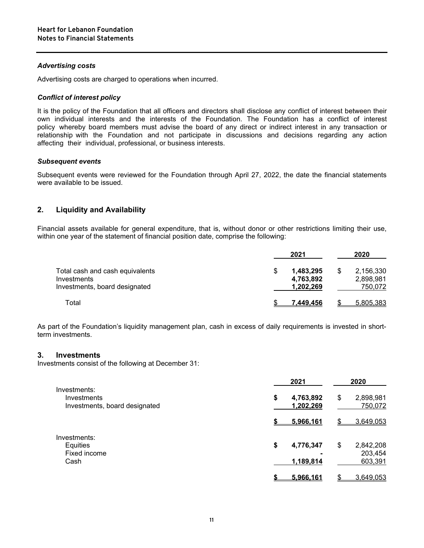#### *Advertising costs*

Advertising costs are charged to operations when incurred.

#### *Conflict of interest policy*

It is the policy of the Foundation that all officers and directors shall disclose any conflict of interest between their own individual interests and the interests of the Foundation. The Foundation has a conflict of interest policy whereby board members must advise the board of any direct or indirect interest in any transaction or relationship with the Foundation and not participate in discussions and decisions regarding any action affecting their individual, professional, or business interests.

#### *Subsequent events*

Subsequent events were reviewed for the Foundation through April 27, 2022, the date the financial statements were available to be issued.

## **2. Liquidity and Availability**

Financial assets available for general expenditure, that is, without donor or other restrictions limiting their use, within one year of the statement of financial position date, comprise the following:

|                                                                                 | 2021 |                                           | 2020                              |
|---------------------------------------------------------------------------------|------|-------------------------------------------|-----------------------------------|
| Total cash and cash equivalents<br>Investments<br>Investments, board designated |      | 1,483,295<br>\$<br>4,763,892<br>1,202,269 | 2,156,330<br>2,898,981<br>750,072 |
| Total                                                                           |      | 7.449.456                                 | 5,805,383                         |

As part of the Foundation's liquidity management plan, cash in excess of daily requirements is invested in shortterm investments.

#### **3. Investments**

Investments consist of the following at December 31:

|                                                              | 2021                         |     | 2020                 |
|--------------------------------------------------------------|------------------------------|-----|----------------------|
| Investments:<br>Investments<br>Investments, board designated | \$<br>4,763,892<br>1,202,269 | \$  | 2,898,981<br>750,072 |
|                                                              | 5,966,161                    | \$. | 3,649,053            |
| Investments:                                                 |                              |     |                      |
| Equities                                                     | \$<br>4,776,347              | \$  | 2,842,208            |
| Fixed income                                                 |                              |     | 203,454              |
| Cash                                                         | 1,189,814                    |     | 603,391              |
|                                                              | <u>5.966.161</u>             |     | 3,649,053            |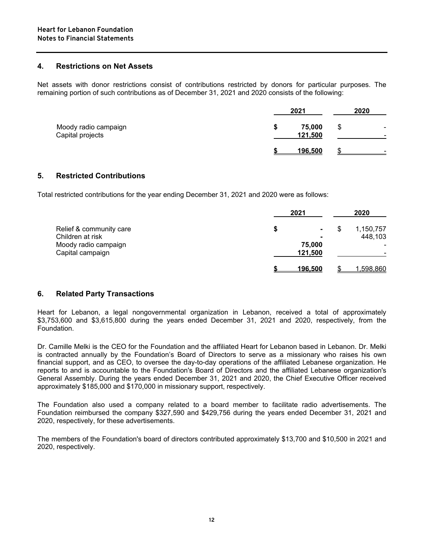#### **4. Restrictions on Net Assets**

Net assets with donor restrictions consist of contributions restricted by donors for particular purposes. The remaining portion of such contributions as of December 31, 2021 and 2020 consists of the following:

|                                          |    | 2021              | 2020 |                               |
|------------------------------------------|----|-------------------|------|-------------------------------|
| Moody radio campaign<br>Capital projects | J. | 75,000<br>121,500 | \$   | $\overline{\phantom{0}}$<br>- |
|                                          |    | 196.500           |      | $\overline{\phantom{0}}$      |

#### **5. Restricted Contributions**

Total restricted contributions for the year ending December 31, 2021 and 2020 were as follows:

|                         | 2021            |                     | 2020           |
|-------------------------|-----------------|---------------------|----------------|
| Relief & community care | S               | S<br>$\blacksquare$ | 1,150,757      |
| Children at risk        |                 | $\blacksquare$      | 448,103        |
| Moody radio campaign    | 75,000          |                     | $\blacksquare$ |
| Capital campaign        | 121,500         |                     |                |
|                         | <u> 196.500</u> |                     | ,598,860       |

#### **6. Related Party Transactions**

Heart for Lebanon, a legal nongovernmental organization in Lebanon, received a total of approximately \$3,753,600 and \$3,615,800 during the years ended December 31, 2021 and 2020, respectively, from the Foundation.

Dr. Camille Melki is the CEO for the Foundation and the affiliated Heart for Lebanon based in Lebanon. Dr. Melki is contracted annually by the Foundation's Board of Directors to serve as a missionary who raises his own financial support, and as CEO, to oversee the day-to-day operations of the affiliated Lebanese organization. He reports to and is accountable to the Foundation's Board of Directors and the affiliated Lebanese organization's General Assembly. During the years ended December 31, 2021 and 2020, the Chief Executive Officer received approximately \$185,000 and \$170,000 in missionary support, respectively.

The Foundation also used a company related to a board member to facilitate radio advertisements. The Foundation reimbursed the company \$327,590 and \$429,756 during the years ended December 31, 2021 and 2020, respectively, for these advertisements.

The members of the Foundation's board of directors contributed approximately \$13,700 and \$10,500 in 2021 and 2020, respectively.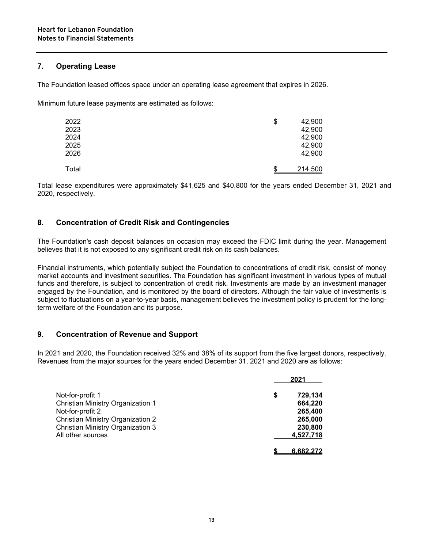### **7. Operating Lease**

The Foundation leased offices space under an operating lease agreement that expires in 2026.

Minimum future lease payments are estimated as follows:

| 2022<br>2023<br>2024<br>2025<br>2026 | \$<br>42,900<br>42,900<br>42,900<br>42,900<br>42,900 |
|--------------------------------------|------------------------------------------------------|
| Total                                | \$<br>214,500                                        |

Total lease expenditures were approximately \$41,625 and \$40,800 for the years ended December 31, 2021 and 2020, respectively.

## **8. Concentration of Credit Risk and Contingencies**

The Foundation's cash deposit balances on occasion may exceed the FDIC limit during the year. Management believes that it is not exposed to any significant credit risk on its cash balances.

Financial instruments, which potentially subject the Foundation to concentrations of credit risk, consist of money market accounts and investment securities. The Foundation has significant investment in various types of mutual funds and therefore, is subject to concentration of credit risk. Investments are made by an investment manager engaged by the Foundation, and is monitored by the board of directors. Although the fair value of investments is subject to fluctuations on a year-to-year basis, management believes the investment policy is prudent for the longterm welfare of the Foundation and its purpose.

## **9. Concentration of Revenue and Support**

In 2021 and 2020, the Foundation received 32% and 38% of its support from the five largest donors, respectively. Revenues from the major sources for the years ended December 31, 2021 and 2020 are as follows:

|                                   | 2021          |
|-----------------------------------|---------------|
| Not-for-profit 1                  | \$<br>729,134 |
| Christian Ministry Organization 1 | 664,220       |
| Not-for-profit 2                  | 265,400       |
| Christian Ministry Organization 2 | 265,000       |
| Christian Ministry Organization 3 | 230,800       |
| All other sources                 | 4,527,718     |
|                                   | 6.682.272     |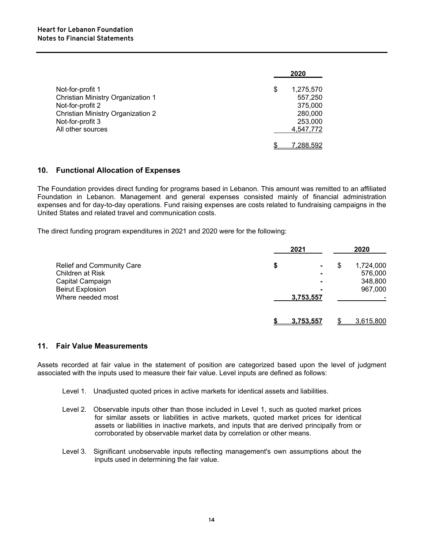|                                   | 2020            |
|-----------------------------------|-----------------|
| Not-for-profit 1                  | \$<br>1,275,570 |
| Christian Ministry Organization 1 | 557,250         |
| Not-for-profit 2                  | 375,000         |
| Christian Ministry Organization 2 | 280,000         |
| Not-for-profit 3                  | 253,000         |
| All other sources                 | 4,547,772       |
|                                   | 7.288.592       |

#### **10. Functional Allocation of Expenses**

The Foundation provides direct funding for programs based in Lebanon. This amount was remitted to an affiliated Foundation in Lebanon. Management and general expenses consisted mainly of financial administration expenses and for day-to-day operations. Fund raising expenses are costs related to fundraising campaigns in the United States and related travel and communication costs.

The direct funding program expenditures in 2021 and 2020 were for the following:

|                           | 2021      |                      | 2020      |
|---------------------------|-----------|----------------------|-----------|
| Relief and Community Care | \$        | \$<br>$\blacksquare$ | 1,724,000 |
| Children at Risk          |           | $\blacksquare$       | 576,000   |
| Capital Campaign          |           | $\blacksquare$       | 348,800   |
| <b>Beirut Explosion</b>   |           | $\blacksquare$       | 967,000   |
| Where needed most         | 3,753,557 |                      |           |
|                           | 3.753.557 |                      | 3,615,800 |

### **11. Fair Value Measurements**

Assets recorded at fair value in the statement of position are categorized based upon the level of judgment associated with the inputs used to measure their fair value. Level inputs are defined as follows:

- Level 1. Unadjusted quoted prices in active markets for identical assets and liabilities.
- Level 2. Observable inputs other than those included in Level 1, such as quoted market prices for similar assets or liabilities in active markets, quoted market prices for identical assets or liabilities in inactive markets, and inputs that are derived principally from or corroborated by observable market data by correlation or other means.
- Level 3. Significant unobservable inputs reflecting management's own assumptions about the inputs used in determining the fair value.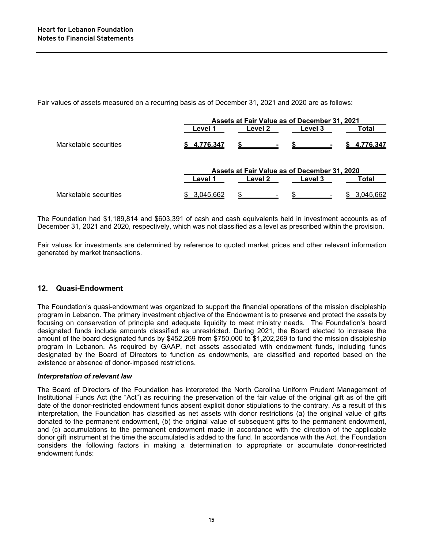Fair values of assets measured on a recurring basis as of December 31, 2021 and 2020 are as follows:

|                       | Assets at Fair Value as of December 31, 2021 |         |                                              |             |
|-----------------------|----------------------------------------------|---------|----------------------------------------------|-------------|
|                       | Level 1                                      | Level 2 | Level 3                                      | Total       |
| Marketable securities | \$4.776.347                                  |         |                                              | \$4.776.347 |
|                       |                                              |         | Assets at Fair Value as of December 31, 2020 |             |
|                       | Level 1                                      | Level 2 | Level 3                                      | Total       |
| Marketable securities | 3,045,662                                    |         |                                              | 3.045.662   |

The Foundation had \$1,189,814 and \$603,391 of cash and cash equivalents held in investment accounts as of December 31, 2021 and 2020, respectively, which was not classified as a level as prescribed within the provision.

Fair values for investments are determined by reference to quoted market prices and other relevant information generated by market transactions.

#### **12. Quasi-Endowment**

The Foundation's quasi-endowment was organized to support the financial operations of the mission discipleship program in Lebanon. The primary investment objective of the Endowment is to preserve and protect the assets by focusing on conservation of principle and adequate liquidity to meet ministry needs. The Foundation's board designated funds include amounts classified as unrestricted. During 2021, the Board elected to increase the amount of the board designated funds by \$452,269 from \$750,000 to \$1,202,269 to fund the mission discipleship program in Lebanon. As required by GAAP, net assets associated with endowment funds, including funds designated by the Board of Directors to function as endowments, are classified and reported based on the existence or absence of donor-imposed restrictions.

#### *Interpretation of relevant law*

The Board of Directors of the Foundation has interpreted the North Carolina Uniform Prudent Management of Institutional Funds Act (the "Act") as requiring the preservation of the fair value of the original gift as of the gift date of the donor-restricted endowment funds absent explicit donor stipulations to the contrary. As a result of this interpretation, the Foundation has classified as net assets with donor restrictions (a) the original value of gifts donated to the permanent endowment, (b) the original value of subsequent gifts to the permanent endowment, and (c) accumulations to the permanent endowment made in accordance with the direction of the applicable donor gift instrument at the time the accumulated is added to the fund. In accordance with the Act, the Foundation considers the following factors in making a determination to appropriate or accumulate donor-restricted endowment funds: